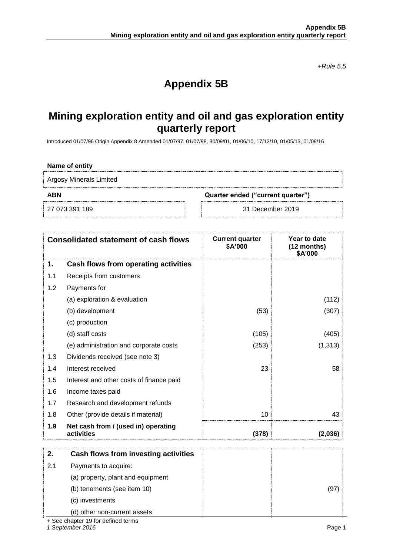*+Rule 5.5*

# **Appendix 5B**

## **Mining exploration entity and oil and gas exploration entity quarterly report**

Introduced 01/07/96 Origin Appendix 8 Amended 01/07/97, 01/07/98, 30/09/01, 01/06/10, 17/12/10, 01/05/13, 01/09/16

### **Name of entity**

Argosy Minerals Limited

**ABN Quarter ended ("current quarter")**

27 073 391 189 31 December 2019

| <b>Consolidated statement of cash flows</b> |                                                   | <b>Current quarter</b><br>\$A'000 | Year to date<br>(12 months)<br>\$A'000 |  |
|---------------------------------------------|---------------------------------------------------|-----------------------------------|----------------------------------------|--|
| 1.                                          | Cash flows from operating activities              |                                   |                                        |  |
| 1.1                                         | Receipts from customers                           |                                   |                                        |  |
| 1.2                                         | Payments for                                      |                                   |                                        |  |
|                                             | (a) exploration & evaluation                      |                                   | (112)                                  |  |
|                                             | (b) development                                   | (53)                              | (307)                                  |  |
|                                             | (c) production                                    |                                   |                                        |  |
|                                             | (d) staff costs                                   | (105)                             | (405)                                  |  |
|                                             | (e) administration and corporate costs            | (253)                             | (1, 313)                               |  |
| 1.3                                         | Dividends received (see note 3)                   |                                   |                                        |  |
| 1.4                                         | Interest received                                 | 23                                | 58                                     |  |
| 1.5                                         | Interest and other costs of finance paid          |                                   |                                        |  |
| 1.6                                         | Income taxes paid                                 |                                   |                                        |  |
| 1.7                                         | Research and development refunds                  |                                   |                                        |  |
| 1.8                                         | Other (provide details if material)               | 10                                | 43                                     |  |
| 1.9                                         | Net cash from / (used in) operating<br>activities | (378)                             | (2,036)                                |  |
| 2.                                          | Cash flows from investing activities              |                                   |                                        |  |
| 2.1                                         | Payments to acquire:                              |                                   |                                        |  |
|                                             | (a) property, plant and equipment                 |                                   |                                        |  |
|                                             | (b) tenements (see item 10)                       |                                   | (97)                                   |  |
|                                             | (c) investments                                   |                                   |                                        |  |
|                                             | (d) other non-current assets                      |                                   |                                        |  |

+ See chapter 19 for defined terms

*1 September 2016* Page 1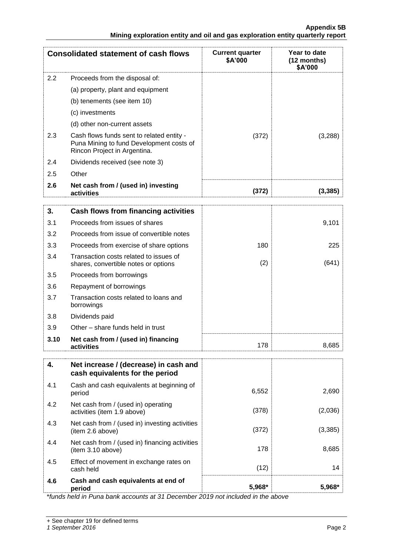| <b>Consolidated statement of cash flows</b> |                                                                                                                       | <b>Current quarter</b><br>\$A'000 | Year to date<br>(12 months)<br>\$A'000 |
|---------------------------------------------|-----------------------------------------------------------------------------------------------------------------------|-----------------------------------|----------------------------------------|
| 2.2                                         | Proceeds from the disposal of:                                                                                        |                                   |                                        |
|                                             | (a) property, plant and equipment                                                                                     |                                   |                                        |
|                                             | (b) tenements (see item 10)                                                                                           |                                   |                                        |
|                                             | (c) investments                                                                                                       |                                   |                                        |
|                                             | (d) other non-current assets                                                                                          |                                   |                                        |
| 2.3                                         | Cash flows funds sent to related entity -<br>Puna Mining to fund Development costs of<br>Rincon Project in Argentina. | (372)                             | (3,288)                                |
| 2.4                                         | Dividends received (see note 3)                                                                                       |                                   |                                        |
| 2.5                                         | Other                                                                                                                 |                                   |                                        |
| 2.6                                         | Net cash from / (used in) investing<br>activities                                                                     | (372)                             | (3, 385)                               |
| 3.                                          | <b>Cash flows from financing activities</b>                                                                           |                                   |                                        |
| 3.1                                         | Proceeds from issues of shares                                                                                        |                                   | 9,101                                  |
| 3.2                                         | Proceeds from issue of convertible notes                                                                              |                                   |                                        |
| 3.3                                         | Proceeds from exercise of share options                                                                               | 180                               | 225                                    |
| 3.4                                         | Transaction costs related to issues of<br>shares, convertible notes or options                                        | (2)                               | (641)                                  |
| 3.5                                         | Proceeds from borrowings                                                                                              |                                   |                                        |
| 3.6                                         | Repayment of borrowings                                                                                               |                                   |                                        |
| 3.7                                         | Transaction costs related to loans and<br>borrowings                                                                  |                                   |                                        |
| 3.8                                         | Dividends paid                                                                                                        |                                   |                                        |
| 3.9                                         | Other – share funds held in trust                                                                                     |                                   |                                        |
| 3.10                                        | Net cash from / (used in) financing<br>activities                                                                     | 178                               | 8,685                                  |
| 4.                                          | Net increase / (decrease) in cash and<br>cash equivalents for the period                                              |                                   |                                        |
| 4.1                                         | Cash and cash equivalents at beginning of<br>period                                                                   | 6,552                             | 2,690                                  |
| 4.2                                         | Net cash from / (used in) operating<br>activities (item 1.9 above)                                                    | (378)                             | (2,036)                                |
| 4.3                                         | Net cash from / (used in) investing activities<br>(item 2.6 above)                                                    | (372)                             | (3, 385)                               |
| 4.4                                         | Net cash from / (used in) financing activities<br>(item 3.10 above)                                                   | 178                               | 8,685                                  |
| 4.5                                         | Effect of movement in exchange rates on<br>cash held                                                                  | (12)                              | 14                                     |
| 4.6                                         | Cash and cash equivalents at end of<br>period                                                                         | 5,968*                            | 5,968*                                 |

\**funds held in Puna bank accounts at 31 December 2019 not included in the above*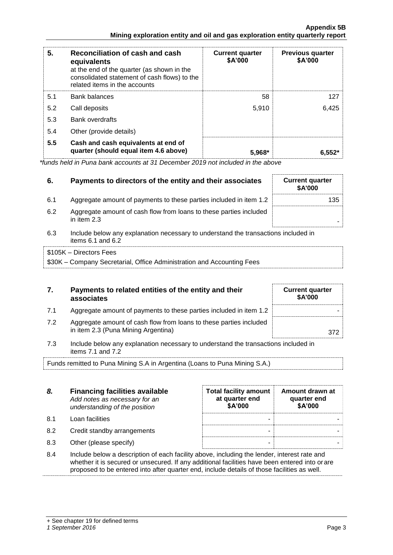| 5.  | Reconciliation of cash and cash<br>equivalents<br>at the end of the quarter (as shown in the<br>consolidated statement of cash flows) to the<br>related items in the accounts | <b>Current quarter</b><br>\$A'000 | <b>Previous quarter</b><br>\$A'000 |
|-----|-------------------------------------------------------------------------------------------------------------------------------------------------------------------------------|-----------------------------------|------------------------------------|
| 5.1 | <b>Bank balances</b>                                                                                                                                                          | 58                                | 127                                |
| 5.2 | Call deposits                                                                                                                                                                 | 5,910                             | 6,425                              |
| 5.3 | <b>Bank overdrafts</b>                                                                                                                                                        |                                   |                                    |
| 5.4 | Other (provide details)                                                                                                                                                       |                                   |                                    |
| 5.5 | Cash and cash equivalents at end of<br>quarter (should equal item 4.6 above)                                                                                                  | $5.968*$                          | $6.552*$                           |

*\*funds held in Puna bank accounts at 31 December 2019 not included in the above*

| 6.  | Payments to directors of the entity and their associates                                                    | <b>Current quarter</b><br><b>\$A'000</b> |  |
|-----|-------------------------------------------------------------------------------------------------------------|------------------------------------------|--|
| 6.1 | Aggregate amount of payments to these parties included in item 1.2                                          | 135                                      |  |
| 6.2 | Aggregate amount of cash flow from loans to these parties included<br>in item 2.3                           |                                          |  |
| 6.3 | Include below any explanation necessary to understand the transactions included in<br>items $6.1$ and $6.2$ |                                          |  |

| \$105K - Directors Fees                                                |
|------------------------------------------------------------------------|
| \$30K – Company Secretarial, Office Administration and Accounting Fees |

| 7. | Payments to related entities of the entity and their |  |  |
|----|------------------------------------------------------|--|--|
|    | associates                                           |  |  |

- 7.1 Aggregate amount of payments to these parties included in item 1.2
- 7.2 Aggregate amount of cash flow from loans to these parties included in item 2.3 (Puna Mining Argentina) 372
- 7.3 Include below any explanation necessary to understand the transactions included in items 7.1 and 7.2

Funds remitted to Puna Mining S.A in Argentina (Loans to Puna Mining S.A.)

| 8.  | <b>Financing facilities available</b><br>Add notes as necessary for an<br>understanding of the position | <b>Total facility amount</b><br>at quarter end<br>\$A'000 | Amount drawn at<br>quarter end<br>\$A'000 |
|-----|---------------------------------------------------------------------------------------------------------|-----------------------------------------------------------|-------------------------------------------|
| 8.1 | Loan facilities                                                                                         | -                                                         |                                           |
| 8.2 | Credit standby arrangements                                                                             | -                                                         |                                           |
| 8.3 | Other (please specify)                                                                                  | -                                                         |                                           |

8.4 Include below a description of each facility above, including the lender, interest rate and whether it is secured or unsecured. If any additional facilities have been entered into orare proposed to be entered into after quarter end, include details of those facilities as well.

**Current quarter \$A'000**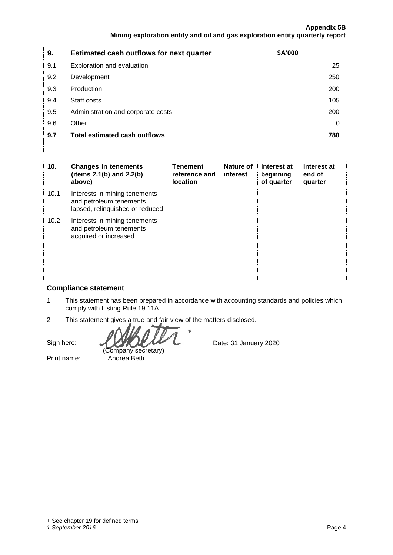| 9.  | <b>Estimated cash outflows for next quarter</b> | \$A'000 |
|-----|-------------------------------------------------|---------|
| 9.1 | Exploration and evaluation                      | 25      |
| 9.2 | Development                                     | 250     |
| 9.3 | Production                                      | 200     |
| 9.4 | Staff costs                                     | 105     |
| 9.5 | Administration and corporate costs              | 200     |
| 9.6 | Other                                           | 0       |
| 9.7 | <b>Total estimated cash outflows</b>            | 780     |
|     |                                                 |         |

| 10.  | <b>Changes in tenements</b><br>(items $2.1(b)$ and $2.2(b)$<br>above)                       | <b>Tenement</b><br>reference and<br><b>location</b> | <b>Nature of</b><br>interest | Interest at<br>beginning<br>of quarter | Interest at<br>end of<br>quarter |
|------|---------------------------------------------------------------------------------------------|-----------------------------------------------------|------------------------------|----------------------------------------|----------------------------------|
| 10.1 | Interests in mining tenements<br>and petroleum tenements<br>lapsed, relinquished or reduced |                                                     |                              |                                        |                                  |
| 10.2 | Interests in mining tenements<br>and petroleum tenements<br>acquired or increased           |                                                     |                              |                                        |                                  |

### **Compliance statement**

- 1 This statement has been prepared in accordance with accounting standards and policies which comply with Listing Rule 19.11A.
- 2 This statement gives a true and fair view of the matters disclosed.

Sign here:

(Company secretary) Print name: Andrea Betti

Date: 31 January 2020